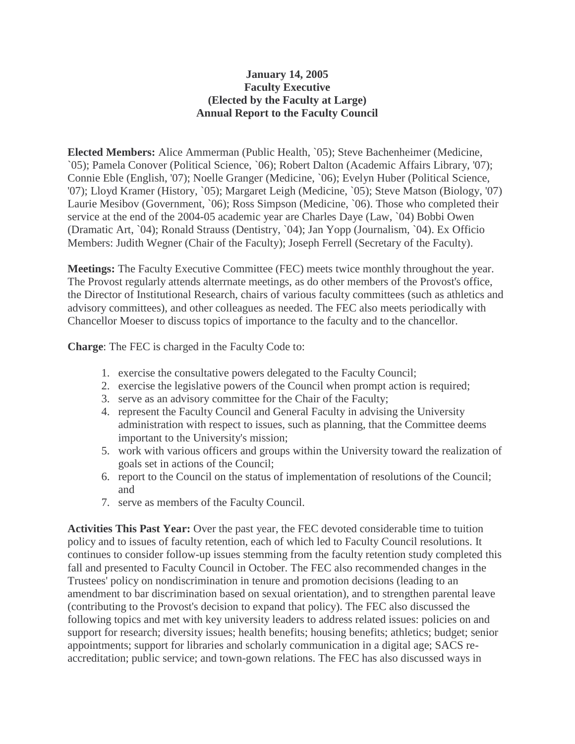## **January 14, 2005 Faculty Executive (Elected by the Faculty at Large) Annual Report to the Faculty Council**

**Elected Members:** Alice Ammerman (Public Health, `05); Steve Bachenheimer (Medicine, `05); Pamela Conover (Political Science, `06); Robert Dalton (Academic Affairs Library, '07); Connie Eble (English, '07); Noelle Granger (Medicine, `06); Evelyn Huber (Political Science, '07); Lloyd Kramer (History, `05); Margaret Leigh (Medicine, `05); Steve Matson (Biology, '07) Laurie Mesibov (Government, '06); Ross Simpson (Medicine, '06). Those who completed their service at the end of the 2004-05 academic year are Charles Daye (Law, `04) Bobbi Owen (Dramatic Art, `04); Ronald Strauss (Dentistry, `04); Jan Yopp (Journalism, `04). Ex Officio Members: Judith Wegner (Chair of the Faculty); Joseph Ferrell (Secretary of the Faculty).

**Meetings:** The Faculty Executive Committee (FEC) meets twice monthly throughout the year. The Provost regularly attends alterrnate meetings, as do other members of the Provost's office, the Director of Institutional Research, chairs of various faculty committees (such as athletics and advisory committees), and other colleagues as needed. The FEC also meets periodically with Chancellor Moeser to discuss topics of importance to the faculty and to the chancellor.

**Charge**: The FEC is charged in the Faculty Code to:

- 1. exercise the consultative powers delegated to the Faculty Council;
- 2. exercise the legislative powers of the Council when prompt action is required;
- 3. serve as an advisory committee for the Chair of the Faculty;
- 4. represent the Faculty Council and General Faculty in advising the University administration with respect to issues, such as planning, that the Committee deems important to the University's mission;
- 5. work with various officers and groups within the University toward the realization of goals set in actions of the Council;
- 6. report to the Council on the status of implementation of resolutions of the Council; and
- 7. serve as members of the Faculty Council.

**Activities This Past Year:** Over the past year, the FEC devoted considerable time to tuition policy and to issues of faculty retention, each of which led to Faculty Council resolutions. It continues to consider follow-up issues stemming from the faculty retention study completed this fall and presented to Faculty Council in October. The FEC also recommended changes in the Trustees' policy on nondiscrimination in tenure and promotion decisions (leading to an amendment to bar discrimination based on sexual orientation), and to strengthen parental leave (contributing to the Provost's decision to expand that policy). The FEC also discussed the following topics and met with key university leaders to address related issues: policies on and support for research; diversity issues; health benefits; housing benefits; athletics; budget; senior appointments; support for libraries and scholarly communication in a digital age; SACS reaccreditation; public service; and town-gown relations. The FEC has also discussed ways in